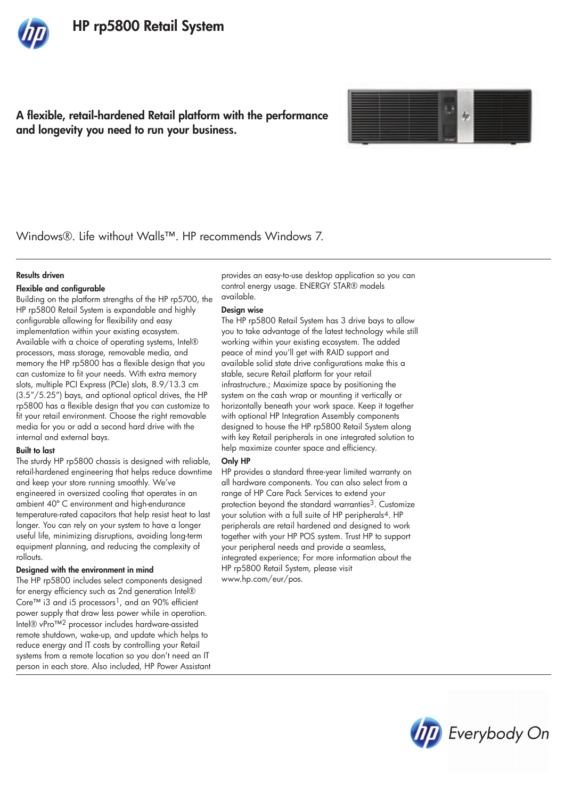# A flexible, retail-hardened Retail platform with the performance and longevity you need to run your business.



Windows®. Life without Walls™. HP recommends Windows 7.

### Results driven

## Flexible and configurable

Building on the platform strengths of the HP rp5700, the HP rp5800 Retail System is expandable and highly configurable allowing for flexibility and easy implementation within your existing ecosystem. Available with a choice of operating systems, Intel® processors, mass storage, removable media, and memory the HP rp5800 has a flexible design that you can customize to fit your needs. With extra memory slots, multiple PCI Express (PCIe) slots, 8.9/13.3 cm (3.5"/5.25") bays, and optional optical drives, the HP rp5800 has a flexible design that you can customize to fit your retail environment. Choose the right removable media for you or add a second hard drive with the internal and external bays.

#### Built to last

The sturdy HP rp5800 chassis is designed with reliable, retail-hardened engineering that helps reduce downtime and keep your store running smoothly. We've engineered in oversized cooling that operates in an ambient 40º C environment and high-endurance temperature-rated capacitors that help resist heat to last longer. You can rely on your system to have a longer useful life, minimizing disruptions, avoiding long-term equipment planning, and reducing the complexity of rollouts.

## Designed with the environment in mind

The HP rp5800 includes select components designed for energy efficiency such as 2nd generation Intel® Core™ i3 and i5 processors<sup>1</sup>, and an 90% efficient power supply that draw less power while in operation. Intel® vPro™2 processor includes hardware-assisted remote shutdown, wake-up, and update which helps to reduce energy and IT costs by controlling your Retail systems from a remote location so you don't need an IT person in each store. Also included, HP Power Assistant

provides an easy-to-use desktop application so you can control energy usage. ENERGY STAR® models available.

#### Design wise

The HP rp5800 Retail System has 3 drive bays to allow you to take advantage of the latest technology while still working within your existing ecosystem. The added peace of mind you'll get with RAID support and available solid state drive configurations make this a stable, secure Retail platform for your retail infrastructure.; Maximize space by positioning the system on the cash wrap or mounting it vertically or horizontally beneath your work space. Keep it together with optional HP Integration Assembly components designed to house the HP rp5800 Retail System along with key Retail peripherals in one integrated solution to help maximize counter space and efficiency.

## Only HP

HP provides a standard three-year limited warranty on all hardware components. You can also select from a range of HP Care Pack Services to extend your protection beyond the standard warranties<sup>3</sup>. Customize your solution with a full suite of HP peripherals<sup>4</sup>. HP peripherals are retail hardened and designed to work together with your HP POS system. Trust HP to support your peripheral needs and provide a seamless, integrated experience; For more information about the HP rp5800 Retail System, please visit www.hp.com/eur/pos.

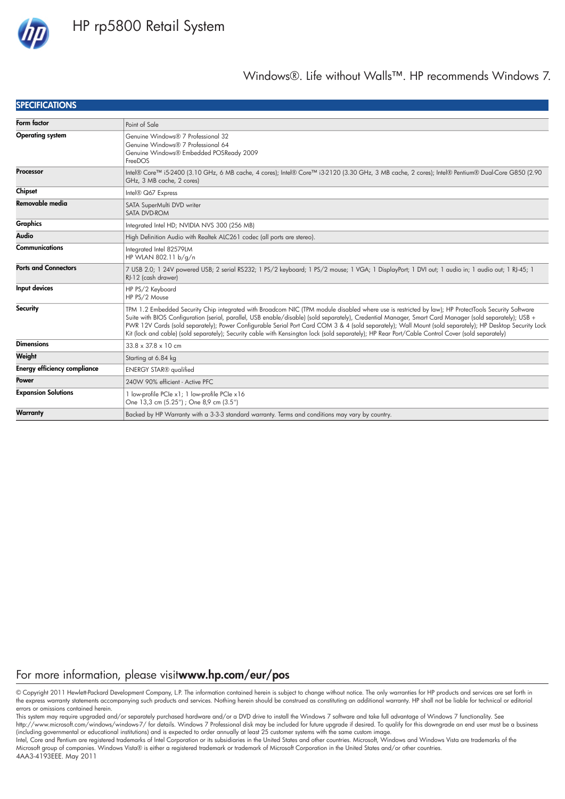

## **SPECIFICATIONS**

| Form factor                         | Point of Sale                                                                                                                                                                                                                                                                                                                                                                                                                                                                                                                                                                                                                   |
|-------------------------------------|---------------------------------------------------------------------------------------------------------------------------------------------------------------------------------------------------------------------------------------------------------------------------------------------------------------------------------------------------------------------------------------------------------------------------------------------------------------------------------------------------------------------------------------------------------------------------------------------------------------------------------|
| <b>Operating system</b>             | Genuine Windows® 7 Professional 32<br>Genuine Windows® 7 Professional 64<br>Genuine Windows® Embedded POSReady 2009<br>FreeDOS                                                                                                                                                                                                                                                                                                                                                                                                                                                                                                  |
| Processor                           | Intel® Core™ i5-2400 (3.10 GHz, 6 MB cache, 4 cores); Intel® Core™ i3-2120 (3.30 GHz, 3 MB cache, 2 cores); Intel® Pentium® Dual-Core G850 (2.90<br>GHz, 3 MB cache, 2 cores)                                                                                                                                                                                                                                                                                                                                                                                                                                                   |
| Chipset                             | Intel® Q67 Express                                                                                                                                                                                                                                                                                                                                                                                                                                                                                                                                                                                                              |
| Removable media                     | SATA SuperMulti DVD writer<br>SATA DVD-ROM                                                                                                                                                                                                                                                                                                                                                                                                                                                                                                                                                                                      |
| Graphics                            | Integrated Intel HD; NVIDIA NVS 300 (256 MB)                                                                                                                                                                                                                                                                                                                                                                                                                                                                                                                                                                                    |
| Audio                               | High Definition Audio with Realtek ALC261 codec (all ports are stereo).                                                                                                                                                                                                                                                                                                                                                                                                                                                                                                                                                         |
| <b>Communications</b>               | Integrated Intel 82579LM<br>HP WLAN 802.11 b/g/n                                                                                                                                                                                                                                                                                                                                                                                                                                                                                                                                                                                |
| <b>Ports and Connectors</b>         | 7 USB 2.0; 1 24V powered USB; 2 serial RS232; 1 PS/2 keyboard; 1 PS/2 mouse; 1 VGA; 1 DisplayPort; 1 DVI out; 1 audio in; 1 audio out; 1 RJ-45; 1<br>RJ-12 (cash drawer)                                                                                                                                                                                                                                                                                                                                                                                                                                                        |
| Input devices                       | HP PS/2 Keyboard<br>HP PS/2 Mouse                                                                                                                                                                                                                                                                                                                                                                                                                                                                                                                                                                                               |
| Security                            | TPM 1.2 Embedded Security Chip integrated with Broadcom NIC (TPM module disabled where use is restricted by law); HP ProtectTools Security Software<br>Suite with BIOS Configuration (serial, parallel, USB enable/disable) (sold separately), Credential Manager, Smart Card Manager (sold separately); USB +<br>PWR 12V Cards (sold separately); Power Configurable Serial Port Card COM 3 & 4 (sold separately); Wall Mount (sold separately); HP Desktop Security Lock<br>Kit (lock and cable) (sold separately); Security cable with Kensington lock (sold separately); HP Rear Port/Cable Control Cover (sold separately) |
| <b>Dimensions</b>                   | $33.8 \times 37.8 \times 10$ cm                                                                                                                                                                                                                                                                                                                                                                                                                                                                                                                                                                                                 |
| Weight                              | Starting at 6.84 kg                                                                                                                                                                                                                                                                                                                                                                                                                                                                                                                                                                                                             |
| <b>Energy efficiency compliance</b> | <b>ENERGY STAR®</b> qualified                                                                                                                                                                                                                                                                                                                                                                                                                                                                                                                                                                                                   |
| Power                               | 240W 90% efficient - Active PFC                                                                                                                                                                                                                                                                                                                                                                                                                                                                                                                                                                                                 |
| <b>Expansion Solutions</b>          | 1 low-profile PCIe x1; 1 low-profile PCIe x16<br>One 13,3 cm (5.25") ; One 8,9 cm (3.5")                                                                                                                                                                                                                                                                                                                                                                                                                                                                                                                                        |
| Warranty                            | Backed by HP Warranty with a 3-3-3 standard warranty. Terms and conditions may vary by country.                                                                                                                                                                                                                                                                                                                                                                                                                                                                                                                                 |

# For more information, please visitwww.hp.com/eur/pos

© Copyright 2011 Hewlett-Packard Development Company, L.P. The information contained herein is subject to change without notice. The only warranties for HP products and services are set forth in the express warranty statements accompanying such products and services. Nothing herein should be construed as constituting an additional warranty. HP shall not be liable for technical or editorial errors or omissions contained herein.

This system may require upgraded and/or separately purchased hardware and/or a DVD drive to install the Windows 7 software and take full advantage of Windows 7 functionality. See http://www.microsoft.com/windows/windows-7/ for details. Windows 7 Professional disk may be included for future upgrade if desired. To qualify for this downgrade an end user must be a business (including governmental or educational institutions) and is expected to order annually at least 25 customer systems with the same custom image.

Intel, Core and Pentium are registered trademarks of Intel Corporation or its subsidiaries in the United States and other countries. Microsoft, Windows and Windows Vista are trademarks of the Microsoft group of companies. Windows Vista® is either a registered trademark or trademark of Microsoft Corporation in the United States and/or other countries.